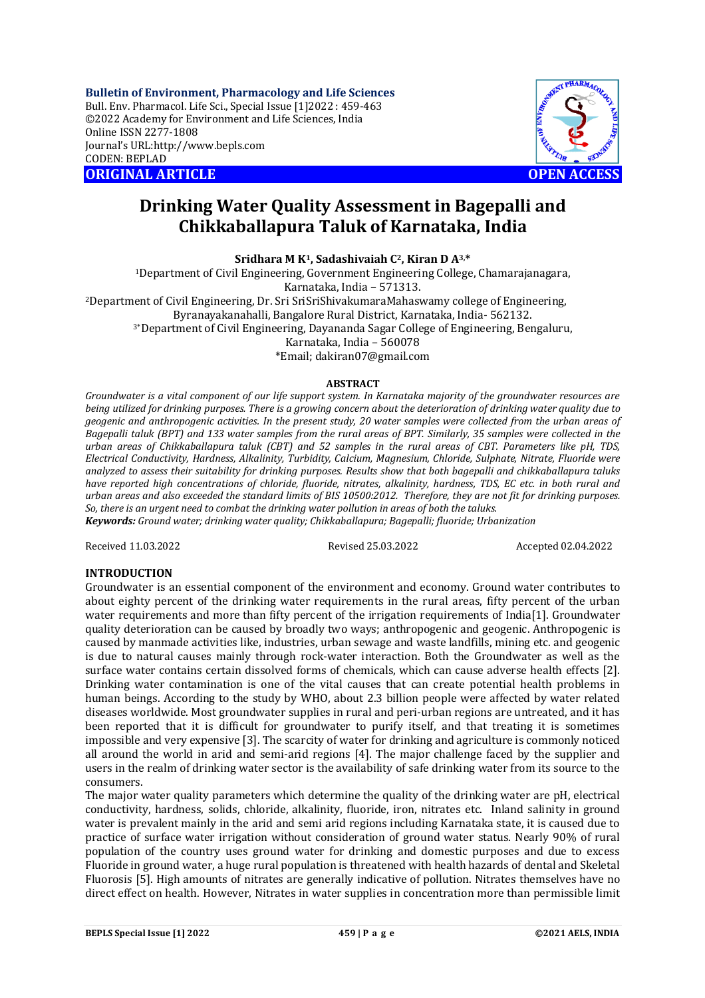**Bulletin of Environment, Pharmacology and Life Sciences** Bull. Env. Pharmacol. Life Sci., Special Issue [1]2022 : 459-463 ©2022 Academy for Environment and Life Sciences, India Online ISSN 2277-1808 Journal's URL:<http://www.bepls.com> CODEN: BEPLAD **ORIGINAL ARTICLE OPEN ACCESS** 



# **Drinking Water Quality Assessment in Bagepalli and Chikkaballapura Taluk of Karnataka, India**

**Sridhara M K1, Sadashivaiah C2, Kiran D A3,\***

<sup>1</sup>Department of Civil Engineering, Government Engineering College, Chamarajanagara, Karnataka, India – 571313. <sup>2</sup>Department of Civil Engineering, Dr. Sri SriSriShivakumaraMahaswamy college of Engineering, Byranayakanahalli, Bangalore Rural District, Karnataka, India- 562132. 3\*Department of Civil Engineering, Dayananda Sagar College of Engineering, Bengaluru, Karnataka, India – 560078 \*Email; [dakiran07@gmail.com](mailto:dakiran07@gmail.com)

#### **ABSTRACT**

*Groundwater is a vital component of our life support system. In Karnataka majority of the groundwater resources are being utilized for drinking purposes. There is a growing concern about the deterioration of drinking water quality due to geogenic and anthropogenic activities. In the present study, 20 water samples were collected from the urban areas of Bagepalli taluk (BPT) and 133 water samples from the rural areas of BPT. Similarly, 35 samples were collected in the urban areas of Chikkaballapura taluk (CBT) and 52 samples in the rural areas of CBT. Parameters like pH, TDS, Electrical Conductivity, Hardness, Alkalinity, Turbidity, Calcium, Magnesium, Chloride, Sulphate, Nitrate, Fluoride were analyzed to assess their suitability for drinking purposes. Results show that both bagepalli and chikkaballapura taluks have reported high concentrations of chloride, fluoride, nitrates, alkalinity, hardness, TDS, EC etc. in both rural and urban areas and also exceeded the standard limits of BIS 10500:2012. Therefore, they are not fit for drinking purposes. So, there is an urgent need to combat the drinking water pollution in areas of both the taluks. Keywords: Ground water; drinking water quality; Chikkaballapura; Bagepalli; fluoride; Urbanization*

Received 11.03.2022 Revised 25.03.2022 Accepted 02.04.2022

### **INTRODUCTION**

Groundwater is an essential component of the environment and economy. Ground water contributes to about eighty percent of the drinking water requirements in the rural areas, fifty percent of the urban water requirements and more than fifty percent of the irrigation requirements of India[1]. Groundwater quality deterioration can be caused by broadly two ways; anthropogenic and geogenic. Anthropogenic is caused by manmade activities like, industries, urban sewage and waste landfills, mining etc. and geogenic is due to natural causes mainly through rock-water interaction. Both the Groundwater as well as the surface water contains certain dissolved forms of chemicals, which can cause adverse health effects [2]. Drinking water contamination is one of the vital causes that can create potential health problems in human beings. According to the study by WHO, about 2.3 billion people were affected by water related diseases worldwide. Most groundwater supplies in rural and peri-urban regions are untreated, and it has been reported that it is difficult for groundwater to purify itself, and that treating it is sometimes impossible and very expensive [3]. The scarcity of water for drinking and agriculture is commonly noticed all around the world in arid and semi-arid regions [4]. The major challenge faced by the supplier and users in the realm of drinking water sector is the availability of safe drinking water from its source to the consumers.

The major water quality parameters which determine the quality of the drinking water are pH, electrical conductivity, hardness, solids, chloride, alkalinity, fluoride, iron, nitrates etc. Inland salinity in ground water is prevalent mainly in the arid and semi arid regions including Karnataka state, it is caused due to practice of surface water irrigation without consideration of ground water status. Nearly 90% of rural population of the country uses ground water for drinking and domestic purposes and due to excess Fluoride in ground water, a huge rural population is threatened with health hazards of dental and Skeletal Fluorosis [5]. High amounts of nitrates are generally indicative of pollution. Nitrates themselves have no direct effect on health. However, Nitrates in water supplies in concentration more than permissible limit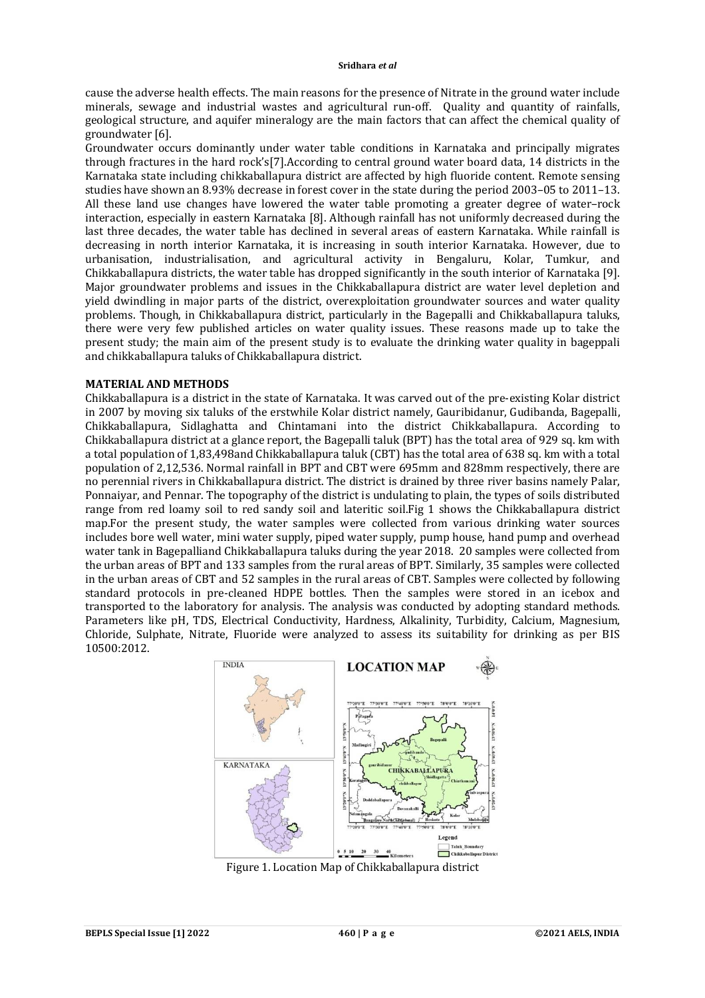#### **Sridhara** *et al*

cause the adverse health effects. The main reasons for the presence of Nitrate in the ground water include minerals, sewage and industrial wastes and agricultural run-off. Quality and quantity of rainfalls, geological structure, and aquifer mineralogy are the main factors that can affect the chemical quality of groundwater [6].

Groundwater occurs dominantly under water table conditions in Karnataka and principally migrates through fractures in the hard rock's[7].According to central ground water board data, 14 districts in the Karnataka state including chikkaballapura district are affected by high fluoride content. Remote sensing studies have shown an 8.93% decrease in forest cover in the state during the period 2003–05 to 2011–13. All these land use changes have lowered the water table promoting a greater degree of water–rock interaction, especially in eastern Karnataka [8]. Although rainfall has not uniformly decreased during the last three decades, the water table has declined in several areas of eastern Karnataka. While rainfall is decreasing in north interior Karnataka, it is increasing in south interior Karnataka. However, due to urbanisation, industrialisation, and agricultural activity in Bengaluru, Kolar, Tumkur, and Chikkaballapura districts, the water table has dropped significantly in the south interior of Karnataka [9]. Major groundwater problems and issues in the Chikkaballapura district are water level depletion and yield dwindling in major parts of the district, overexploitation groundwater sources and water quality problems. Though, in Chikkaballapura district, particularly in the Bagepalli and Chikkaballapura taluks, there were very few published articles on water quality issues. These reasons made up to take the present study; the main aim of the present study is to evaluate the drinking water quality in bageppali and chikkaballapura taluks of Chikkaballapura district.

# **MATERIAL AND METHODS**

Chikkaballapura is a district in the state of Karnataka. It was carved out of the pre-existing Kolar district in 2007 by moving six taluks of the erstwhile Kolar district namely, Gauribidanur, Gudibanda, Bagepalli, Chikkaballapura, Sidlaghatta and Chintamani into the district Chikkaballapura. According to Chikkaballapura district at a glance report, the Bagepalli taluk (BPT) has the total area of 929 sq. km with a total population of 1,83,498and Chikkaballapura taluk (CBT) has the total area of 638 sq. km with a total population of 2,12,536. Normal rainfall in BPT and CBT were 695mm and 828mm respectively, there are no perennial rivers in Chikkaballapura district. The district is drained by three river basins namely Palar, Ponnaiyar, and Pennar. The topography of the district is undulating to plain, the types of soils distributed range from red loamy soil to red sandy soil and lateritic soil.Fig 1 shows the Chikkaballapura district map.For the present study, the water samples were collected from various drinking water sources includes bore well water, mini water supply, piped water supply, pump house, hand pump and overhead water tank in Bagepalliand Chikkaballapura taluks during the year 2018. 20 samples were collected from the urban areas of BPT and 133 samples from the rural areas of BPT. Similarly, 35 samples were collected in the urban areas of CBT and 52 samples in the rural areas of CBT. Samples were collected by following standard protocols in pre-cleaned HDPE bottles. Then the samples were stored in an icebox and transported to the laboratory for analysis. The analysis was conducted by adopting standard methods. Parameters like pH, TDS, Electrical Conductivity, Hardness, Alkalinity, Turbidity, Calcium, Magnesium, Chloride, Sulphate, Nitrate, Fluoride were analyzed to assess its suitability for drinking as per BIS 10500:2012.



Figure 1. Location Map of Chikkaballapura district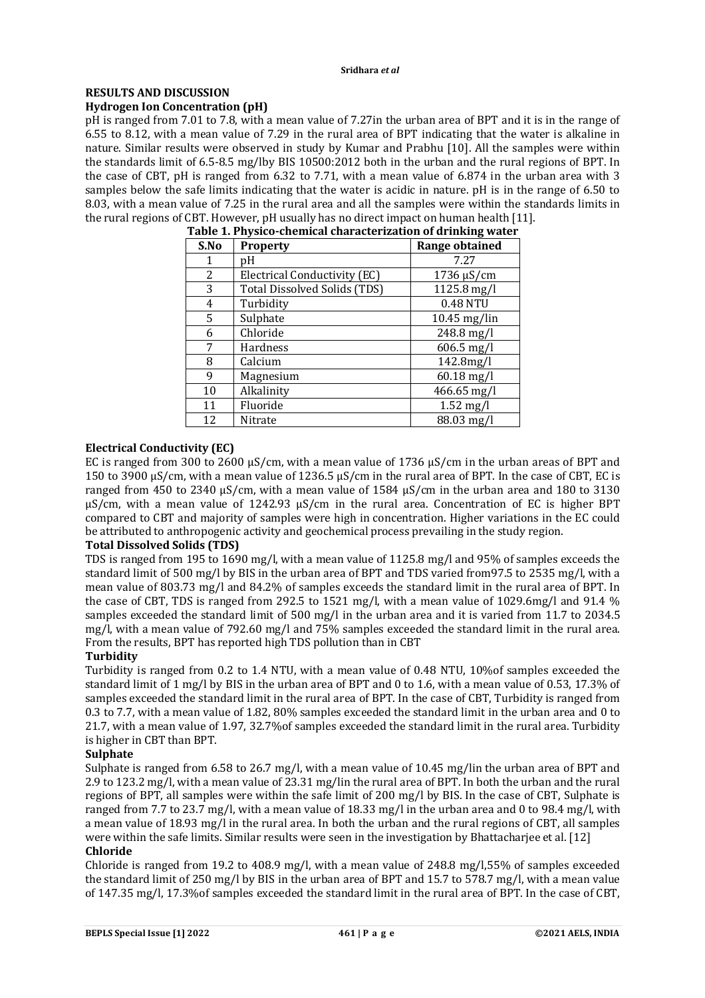#### **RESULTS AND DISCUSSION Hydrogen Ion Concentration (pH)**

pH is ranged from 7.01 to 7.8, with a mean value of 7.27in the urban area of BPT and it is in the range of 6.55 to 8.12, with a mean value of 7.29 in the rural area of BPT indicating that the water is alkaline in nature. Similar results were observed in study by Kumar and Prabhu [10]. All the samples were within the standards limit of 6.5-8.5 mg/lby BIS 10500:2012 both in the urban and the rural regions of BPT. In the case of CBT, pH is ranged from 6.32 to 7.71, with a mean value of 6.874 in the urban area with 3 samples below the safe limits indicating that the water is acidic in nature. pH is in the range of 6.50 to 8.03, with a mean value of 7.25 in the rural area and all the samples were within the standards limits in the rural regions of CBT. However, pH usually has no direct impact on human health [11].

| S.No | <b>Property</b>                     | Range obtained |
|------|-------------------------------------|----------------|
| 1    | pH                                  | 7.27           |
| 2    | Electrical Conductivity (EC)        | 1736 µS/cm     |
| 3    | <b>Total Dissolved Solids (TDS)</b> | 1125.8 mg/l    |
| 4    | Turbidity                           | 0.48 NTU       |
| 5.   | Sulphate                            | 10.45 mg/lin   |
| 6    | Chloride                            | 248.8 mg/l     |
| 7    | <b>Hardness</b>                     | $606.5$ mg/l   |
| 8    | Calcium                             | 142.8mg/l      |
| 9    | Magnesium                           | $60.18$ mg/l   |
| 10   | Alkalinity                          | 466.65 mg/l    |
| 11   | Fluoride                            | $1.52$ mg/l    |
| 12   | Nitrate                             | 88.03 mg/l     |

**Table 1. Physico-chemical characterization of drinking water**

# **Electrical Conductivity (EC)**

EC is ranged from 300 to 2600 uS/cm, with a mean value of 1736 uS/cm in the urban areas of BPT and 150 to 3900 µS/cm, with a mean value of 1236.5 µS/cm in the rural area of BPT. In the case of CBT, EC is ranged from 450 to 2340 µS/cm, with a mean value of 1584 µS/cm in the urban area and 180 to 3130 µS/cm, with a mean value of 1242.93 µS/cm in the rural area. Concentration of EC is higher BPT compared to CBT and majority of samples were high in concentration. Higher variations in the EC could be attributed to anthropogenic activity and geochemical process prevailing in the study region.

# **Total Dissolved Solids (TDS)**

TDS is ranged from 195 to 1690 mg/l, with a mean value of 1125.8 mg/l and 95% of samples exceeds the standard limit of 500 mg/l by BIS in the urban area of BPT and TDS varied from97.5 to 2535 mg/l, with a mean value of 803.73 mg/l and 84.2% of samples exceeds the standard limit in the rural area of BPT. In the case of CBT, TDS is ranged from 292.5 to 1521 mg/l, with a mean value of 1029.6mg/l and 91.4 % samples exceeded the standard limit of 500 mg/l in the urban area and it is varied from 11.7 to 2034.5 mg/l, with a mean value of 792.60 mg/l and 75% samples exceeded the standard limit in the rural area. From the results, BPT has reported high TDS pollution than in CBT

# **Turbidity**

Turbidity is ranged from 0.2 to 1.4 NTU, with a mean value of 0.48 NTU, 10%of samples exceeded the standard limit of 1 mg/l by BIS in the urban area of BPT and 0 to 1.6, with a mean value of 0.53, 17.3% of samples exceeded the standard limit in the rural area of BPT. In the case of CBT, Turbidity is ranged from 0.3 to 7.7, with a mean value of 1.82, 80% samples exceeded the standard limit in the urban area and 0 to 21.7, with a mean value of 1.97, 32.7%of samples exceeded the standard limit in the rural area. Turbidity is higher in CBT than BPT.

# **Sulphate**

Sulphate is ranged from 6.58 to 26.7 mg/l, with a mean value of 10.45 mg/lin the urban area of BPT and 2.9 to 123.2 mg/l, with a mean value of 23.31 mg/lin the rural area of BPT. In both the urban and the rural regions of BPT, all samples were within the safe limit of 200 mg/l by BIS. In the case of CBT, Sulphate is ranged from 7.7 to 23.7 mg/l, with a mean value of 18.33 mg/l in the urban area and 0 to 98.4 mg/l, with a mean value of 18.93 mg/l in the rural area. In both the urban and the rural regions of CBT, all samples were within the safe limits. Similar results were seen in the investigation by Bhattacharjee et al. [12] **Chloride**

Chloride is ranged from 19.2 to 408.9 mg/l, with a mean value of  $248.8$  mg/l,  $55\%$  of samples exceeded the standard limit of 250 mg/l by BIS in the urban area of BPT and 15.7 to 578.7 mg/l, with a mean value of 147.35 mg/l, 17.3%of samples exceeded the standard limit in the rural area of BPT. In the case of CBT,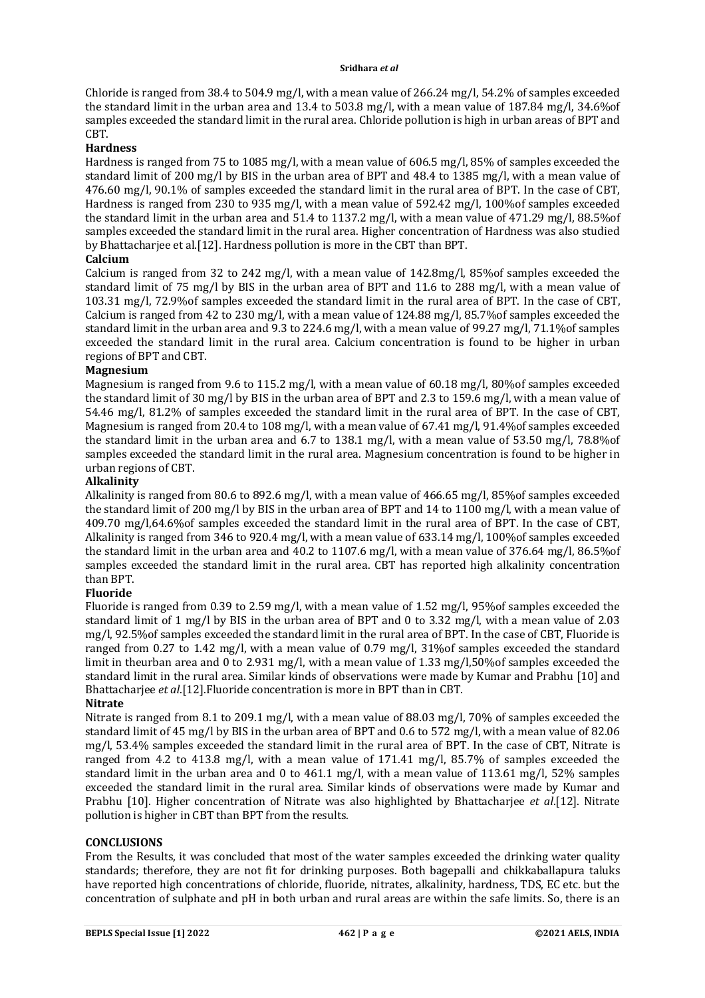#### **Sridhara** *et al*

Chloride is ranged from 38.4 to 504.9 mg/l, with a mean value of 266.24 mg/l, 54.2% of samples exceeded the standard limit in the urban area and 13.4 to 503.8 mg/l, with a mean value of 187.84 mg/l, 34.6%of samples exceeded the standard limit in the rural area. Chloride pollution is high in urban areas of BPT and CBT.

# **Hardness**

Hardness is ranged from 75 to 1085 mg/l, with a mean value of 606.5 mg/l, 85% of samples exceeded the standard limit of 200 mg/l by BIS in the urban area of BPT and 48.4 to 1385 mg/l, with a mean value of 476.60 mg/l, 90.1% of samples exceeded the standard limit in the rural area of BPT. In the case of CBT, Hardness is ranged from 230 to 935 mg/l, with a mean value of 592.42 mg/l, 100% of samples exceeded the standard limit in the urban area and 51.4 to 1137.2 mg/l, with a mean value of 471.29 mg/l, 88.5%of samples exceeded the standard limit in the rural area. Higher concentration of Hardness was also studied by Bhattacharjee et al.[12]. Hardness pollution is more in the CBT than BPT.

# **Calcium**

Calcium is ranged from 32 to 242 mg/l, with a mean value of 142.8mg/l, 85%of samples exceeded the standard limit of 75 mg/l by BIS in the urban area of BPT and 11.6 to 288 mg/l, with a mean value of 103.31 mg/l, 72.9%of samples exceeded the standard limit in the rural area of BPT. In the case of CBT, Calcium is ranged from 42 to 230 mg/l, with a mean value of 124.88 mg/l, 85.7%of samples exceeded the standard limit in the urban area and 9.3 to 224.6 mg/l, with a mean value of 99.27 mg/l, 71.1%of samples exceeded the standard limit in the rural area. Calcium concentration is found to be higher in urban regions of BPT and CBT.

### **Magnesium**

Magnesium is ranged from 9.6 to 115.2 mg/l, with a mean value of 60.18 mg/l, 80% of samples exceeded the standard limit of 30 mg/l by BIS in the urban area of BPT and 2.3 to 159.6 mg/l, with a mean value of 54.46 mg/l, 81.2% of samples exceeded the standard limit in the rural area of BPT. In the case of CBT, Magnesium is ranged from 20.4 to 108 mg/l, with a mean value of 67.41 mg/l, 91.4% of samples exceeded the standard limit in the urban area and 6.7 to 138.1 mg/l, with a mean value of 53.50 mg/l, 78.8%of samples exceeded the standard limit in the rural area. Magnesium concentration is found to be higher in urban regions of CBT.

### **Alkalinity**

Alkalinity is ranged from 80.6 to 892.6 mg/l, with a mean value of 466.65 mg/l, 85%of samples exceeded the standard limit of 200 mg/l by BIS in the urban area of BPT and 14 to 1100 mg/l, with a mean value of 409.70 mg/l,64.6%of samples exceeded the standard limit in the rural area of BPT. In the case of CBT, Alkalinity is ranged from 346 to 920.4 mg/l, with a mean value of 633.14 mg/l, 100%of samples exceeded the standard limit in the urban area and 40.2 to 1107.6 mg/l, with a mean value of 376.64 mg/l, 86.5%of samples exceeded the standard limit in the rural area. CBT has reported high alkalinity concentration than BPT.

### **Fluoride**

Fluoride is ranged from 0.39 to 2.59 mg/l, with a mean value of 1.52 mg/l, 95%of samples exceeded the standard limit of 1 mg/l by BIS in the urban area of BPT and 0 to 3.32 mg/l, with a mean value of 2.03 mg/l, 92.5%of samples exceeded the standard limit in the rural area of BPT. In the case of CBT, Fluoride is ranged from 0.27 to 1.42 mg/l, with a mean value of 0.79 mg/l, 31%of samples exceeded the standard limit in theurban area and 0 to 2.931 mg/l, with a mean value of 1.33 mg/l,50%of samples exceeded the standard limit in the rural area. Similar kinds of observations were made by Kumar and Prabhu [10] and Bhattacharjee *et al*.[12].Fluoride concentration is more in BPT than in CBT.

### **Nitrate**

Nitrate is ranged from 8.1 to 209.1 mg/l, with a mean value of 88.03 mg/l, 70% of samples exceeded the standard limit of 45 mg/l by BIS in the urban area of BPT and 0.6 to 572 mg/l, with a mean value of 82.06 mg/l, 53.4% samples exceeded the standard limit in the rural area of BPT. In the case of CBT, Nitrate is ranged from 4.2 to 413.8 mg/l, with a mean value of 171.41 mg/l, 85.7% of samples exceeded the standard limit in the urban area and 0 to 461.1 mg/l, with a mean value of 113.61 mg/l, 52% samples exceeded the standard limit in the rural area. Similar kinds of observations were made by Kumar and Prabhu [10]. Higher concentration of Nitrate was also highlighted by Bhattacharjee *et al*.[12]. Nitrate pollution is higher in CBT than BPT from the results.

### **CONCLUSIONS**

From the Results, it was concluded that most of the water samples exceeded the drinking water quality standards; therefore, they are not fit for drinking purposes. Both bagepalli and chikkaballapura taluks have reported high concentrations of chloride, fluoride, nitrates, alkalinity, hardness, TDS, EC etc. but the concentration of sulphate and pH in both urban and rural areas are within the safe limits. So, there is an